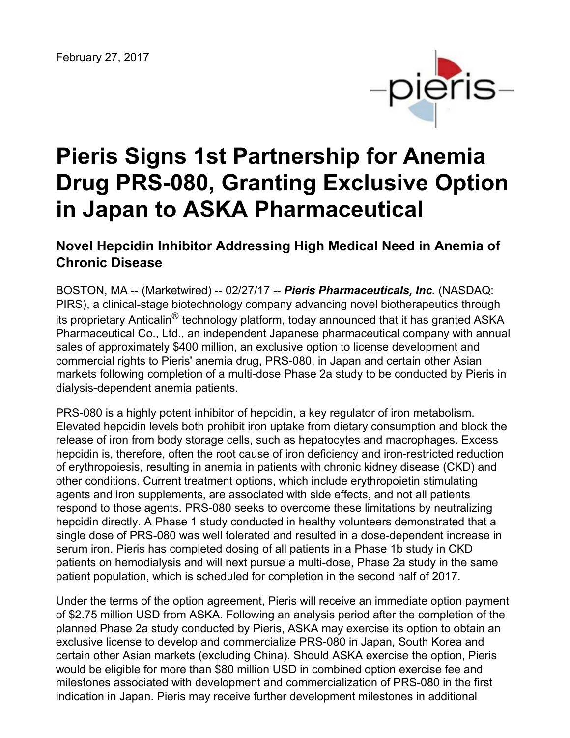

# **Pieris Signs 1st Partnership for Anemia Drug PRS-080, Granting Exclusive Option in Japan to ASKA Pharmaceutical**

# **Novel Hepcidin Inhibitor Addressing High Medical Need in Anemia of Chronic Disease**

BOSTON, MA -- (Marketwired) -- 02/27/17 -- *Pieris Pharmaceuticals, Inc.* (NASDAQ: PIRS), a clinical-stage biotechnology company advancing novel biotherapeutics through its proprietary Anticalin® technology platform, today announced that it has granted ASKA Pharmaceutical Co., Ltd., an independent Japanese pharmaceutical company with annual sales of approximately \$400 million, an exclusive option to license development and commercial rights to Pieris' anemia drug, PRS-080, in Japan and certain other Asian markets following completion of a multi-dose Phase 2a study to be conducted by Pieris in dialysis-dependent anemia patients.

PRS-080 is a highly potent inhibitor of hepcidin, a key regulator of iron metabolism. Elevated hepcidin levels both prohibit iron uptake from dietary consumption and block the release of iron from body storage cells, such as hepatocytes and macrophages. Excess hepcidin is, therefore, often the root cause of iron deficiency and iron-restricted reduction of erythropoiesis, resulting in anemia in patients with chronic kidney disease (CKD) and other conditions. Current treatment options, which include erythropoietin stimulating agents and iron supplements, are associated with side effects, and not all patients respond to those agents. PRS-080 seeks to overcome these limitations by neutralizing hepcidin directly. A Phase 1 study conducted in healthy volunteers demonstrated that a single dose of PRS-080 was well tolerated and resulted in a dose-dependent increase in serum iron. Pieris has completed dosing of all patients in a Phase 1b study in CKD patients on hemodialysis and will next pursue a multi-dose, Phase 2a study in the same patient population, which is scheduled for completion in the second half of 2017.

Under the terms of the option agreement, Pieris will receive an immediate option payment of \$2.75 million USD from ASKA. Following an analysis period after the completion of the planned Phase 2a study conducted by Pieris, ASKA may exercise its option to obtain an exclusive license to develop and commercialize PRS-080 in Japan, South Korea and certain other Asian markets (excluding China). Should ASKA exercise the option, Pieris would be eligible for more than \$80 million USD in combined option exercise fee and milestones associated with development and commercialization of PRS-080 in the first indication in Japan. Pieris may receive further development milestones in additional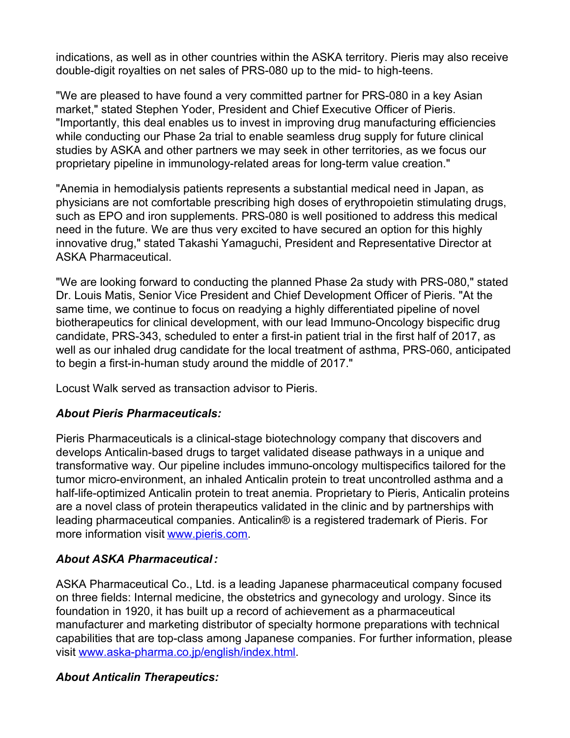indications, as well as in other countries within the ASKA territory. Pieris may also receive double-digit royalties on net sales of PRS-080 up to the mid- to high-teens.

"We are pleased to have found a very committed partner for PRS-080 in a key Asian market," stated Stephen Yoder, President and Chief Executive Officer of Pieris. "Importantly, this deal enables us to invest in improving drug manufacturing efficiencies while conducting our Phase 2a trial to enable seamless drug supply for future clinical studies by ASKA and other partners we may seek in other territories, as we focus our proprietary pipeline in immunology-related areas for long-term value creation."

"Anemia in hemodialysis patients represents a substantial medical need in Japan, as physicians are not comfortable prescribing high doses of erythropoietin stimulating drugs, such as EPO and iron supplements. PRS-080 is well positioned to address this medical need in the future. We are thus very excited to have secured an option for this highly innovative drug," stated Takashi Yamaguchi, President and Representative Director at ASKA Pharmaceutical.

"We are looking forward to conducting the planned Phase 2a study with PRS-080," stated Dr. Louis Matis, Senior Vice President and Chief Development Officer of Pieris. "At the same time, we continue to focus on readying a highly differentiated pipeline of novel biotherapeutics for clinical development, with our lead Immuno-Oncology bispecific drug candidate, PRS-343, scheduled to enter a first-in patient trial in the first half of 2017, as well as our inhaled drug candidate for the local treatment of asthma, PRS-060, anticipated to begin a first-in-human study around the middle of 2017."

Locust Walk served as transaction advisor to Pieris.

#### *About Pieris Pharmaceuticals:*

Pieris Pharmaceuticals is a clinical-stage biotechnology company that discovers and develops Anticalin-based drugs to target validated disease pathways in a unique and transformative way. Our pipeline includes immuno-oncology multispecifics tailored for the tumor micro-environment, an inhaled Anticalin protein to treat uncontrolled asthma and a half-life-optimized Anticalin protein to treat anemia. Proprietary to Pieris, Anticalin proteins are a novel class of protein therapeutics validated in the clinic and by partnerships with leading pharmaceutical companies. Anticalin® is a registered trademark of Pieris. For more information visit [www.pieris.com](http://www.pieris.com/).

## *About ASKA Pharmaceutical:*

ASKA Pharmaceutical Co., Ltd. is a leading Japanese pharmaceutical company focused on three fields: Internal medicine, the obstetrics and gynecology and urology. Since its foundation in 1920, it has built up a record of achievement as a pharmaceutical manufacturer and marketing distributor of specialty hormone preparations with technical capabilities that are top-class among Japanese companies. For further information, please visit [www.aska-pharma.co.jp/english/index.html](http://www.aska-pharma.co.jp/english/index.html).

#### *About Anticalin Therapeutics:*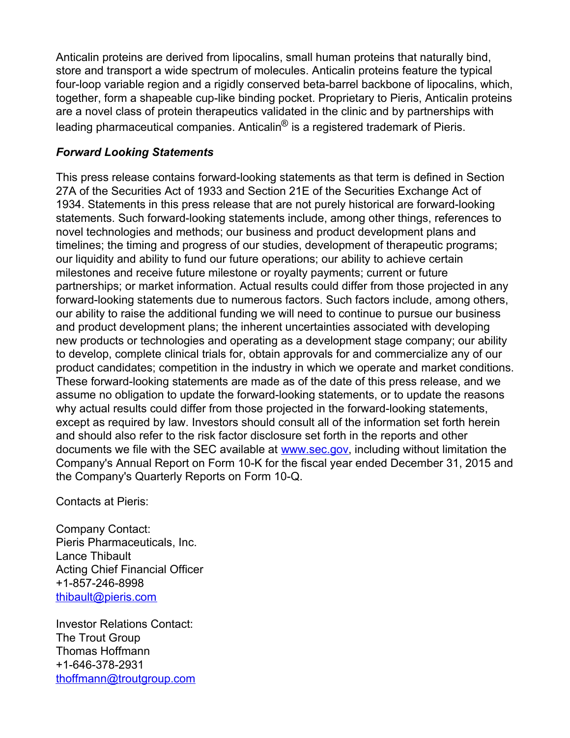Anticalin proteins are derived from lipocalins, small human proteins that naturally bind, store and transport a wide spectrum of molecules. Anticalin proteins feature the typical four-loop variable region and a rigidly conserved beta-barrel backbone of lipocalins, which, together, form a shapeable cup-like binding pocket. Proprietary to Pieris, Anticalin proteins are a novel class of protein therapeutics validated in the clinic and by partnerships with leading pharmaceutical companies. Anticalin<sup>®</sup> is a registered trademark of Pieris.

### *Forward Looking Statements*

This press release contains forward-looking statements as that term is defined in Section 27A of the Securities Act of 1933 and Section 21E of the Securities Exchange Act of 1934. Statements in this press release that are not purely historical are forward-looking statements. Such forward-looking statements include, among other things, references to novel technologies and methods; our business and product development plans and timelines; the timing and progress of our studies, development of therapeutic programs; our liquidity and ability to fund our future operations; our ability to achieve certain milestones and receive future milestone or royalty payments; current or future partnerships; or market information. Actual results could differ from those projected in any forward-looking statements due to numerous factors. Such factors include, among others, our ability to raise the additional funding we will need to continue to pursue our business and product development plans; the inherent uncertainties associated with developing new products or technologies and operating as a development stage company; our ability to develop, complete clinical trials for, obtain approvals for and commercialize any of our product candidates; competition in the industry in which we operate and market conditions. These forward-looking statements are made as of the date of this press release, and we assume no obligation to update the forward-looking statements, or to update the reasons why actual results could differ from those projected in the forward-looking statements, except as required by law. Investors should consult all of the information set forth herein and should also refer to the risk factor disclosure set forth in the reports and other documents we file with the SEC available at [www.sec.gov](http://www.sec.gov), including without limitation the Company's Annual Report on Form 10-K for the fiscal year ended December 31, 2015 and the Company's Quarterly Reports on Form 10-Q.

Contacts at Pieris:

Company Contact: Pieris Pharmaceuticals, Inc. Lance Thibault Acting Chief Financial Officer +1-857-246-8998 [thibault@pieris.com](mailto:thibault@pieris.com)

Investor Relations Contact: The Trout Group Thomas Hoffmann +1-646-378-2931 [thoffmann@troutgroup.com](mailto:thoffmann@troutgroup.com)